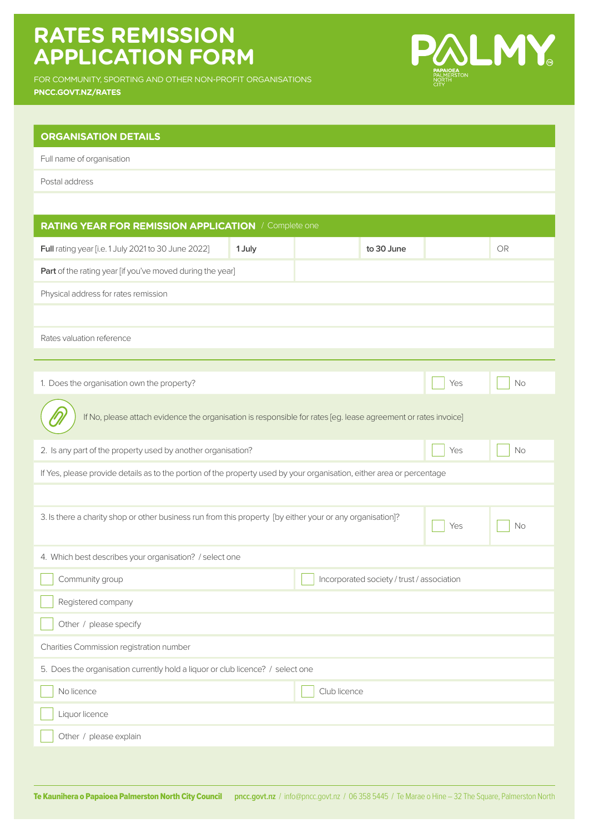## **RATES REMISSION APPLICATION FORM**

FOR COMMUNITY, SPORTING AND OTHER NON-PROFIT ORGANISATIONS **PNCC.GOVT.NZ/RATES**



| <b>ORGANISATION DETAILS</b>                                                                                            |        |  |            |  |           |  |  |  |
|------------------------------------------------------------------------------------------------------------------------|--------|--|------------|--|-----------|--|--|--|
| Full name of organisation                                                                                              |        |  |            |  |           |  |  |  |
| Postal address                                                                                                         |        |  |            |  |           |  |  |  |
|                                                                                                                        |        |  |            |  |           |  |  |  |
| <b>RATING YEAR FOR REMISSION APPLICATION / Complete one</b>                                                            |        |  |            |  |           |  |  |  |
| Full rating year [i.e. 1 July 2021 to 30 June 2022]                                                                    | 1 July |  | to 30 June |  | <b>OR</b> |  |  |  |
| Part of the rating year [if you've moved during the year]                                                              |        |  |            |  |           |  |  |  |
| Physical address for rates remission                                                                                   |        |  |            |  |           |  |  |  |
|                                                                                                                        |        |  |            |  |           |  |  |  |
| Rates valuation reference                                                                                              |        |  |            |  |           |  |  |  |
|                                                                                                                        |        |  |            |  |           |  |  |  |
| 1. Does the organisation own the property?                                                                             |        |  |            |  | <b>No</b> |  |  |  |
| If No, please attach evidence the organisation is responsible for rates [eg. lease agreement or rates invoice]         |        |  |            |  |           |  |  |  |
| 2. Is any part of the property used by another organisation?<br>Yes<br><b>No</b>                                       |        |  |            |  |           |  |  |  |
| If Yes, please provide details as to the portion of the property used by your organisation, either area or percentage  |        |  |            |  |           |  |  |  |
|                                                                                                                        |        |  |            |  |           |  |  |  |
| 3. Is there a charity shop or other business run from this property [by either your or any organisation]?<br>Yes<br>No |        |  |            |  |           |  |  |  |
| 4. Which best describes your organisation? / select one                                                                |        |  |            |  |           |  |  |  |
| Community group<br>Incorporated society / trust / association                                                          |        |  |            |  |           |  |  |  |
| Registered company                                                                                                     |        |  |            |  |           |  |  |  |
| Other / please specify                                                                                                 |        |  |            |  |           |  |  |  |
| Charities Commission registration number                                                                               |        |  |            |  |           |  |  |  |
| 5. Does the organisation currently hold a liquor or club licence? / select one                                         |        |  |            |  |           |  |  |  |
| No licence<br>Club licence                                                                                             |        |  |            |  |           |  |  |  |
| Liquor licence                                                                                                         |        |  |            |  |           |  |  |  |
| Other / please explain                                                                                                 |        |  |            |  |           |  |  |  |
|                                                                                                                        |        |  |            |  |           |  |  |  |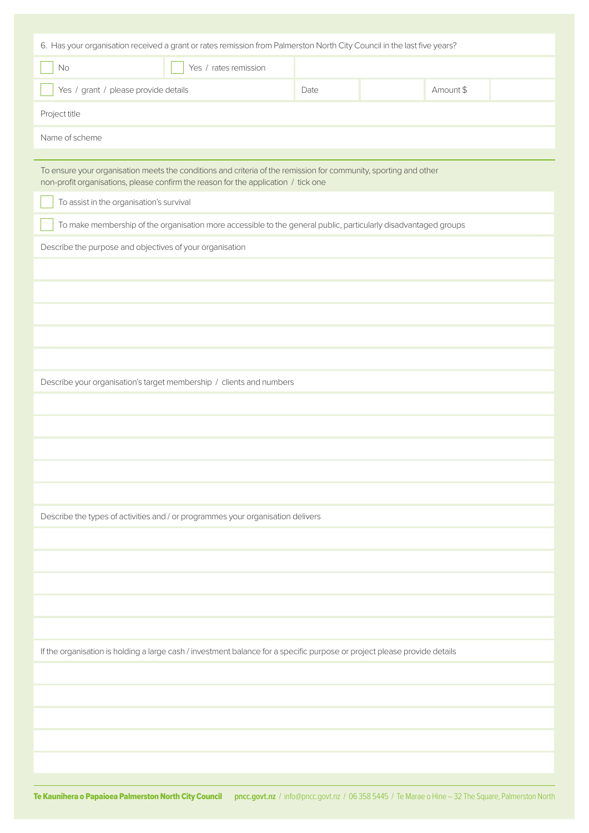| 6. Has your organisation received a grant or rates remission from Palmerston North City Council in the last five years?                                                                                |                       |      |  |           |  |  |
|--------------------------------------------------------------------------------------------------------------------------------------------------------------------------------------------------------|-----------------------|------|--|-----------|--|--|
| No                                                                                                                                                                                                     | Yes / rates remission |      |  |           |  |  |
|                                                                                                                                                                                                        |                       |      |  |           |  |  |
| Yes / grant / please provide details                                                                                                                                                                   |                       | Date |  | Amount \$ |  |  |
| Project title                                                                                                                                                                                          |                       |      |  |           |  |  |
| Name of scheme                                                                                                                                                                                         |                       |      |  |           |  |  |
|                                                                                                                                                                                                        |                       |      |  |           |  |  |
| To ensure your organisation meets the conditions and criteria of the remission for community, sporting and other<br>non-profit organisations, please confirm the reason for the application / tick one |                       |      |  |           |  |  |
| To assist in the organisation's survival                                                                                                                                                               |                       |      |  |           |  |  |
| To make membership of the organisation more accessible to the general public, particularly disadvantaged groups                                                                                        |                       |      |  |           |  |  |
| Describe the purpose and objectives of your organisation                                                                                                                                               |                       |      |  |           |  |  |
|                                                                                                                                                                                                        |                       |      |  |           |  |  |
|                                                                                                                                                                                                        |                       |      |  |           |  |  |
|                                                                                                                                                                                                        |                       |      |  |           |  |  |
|                                                                                                                                                                                                        |                       |      |  |           |  |  |
|                                                                                                                                                                                                        |                       |      |  |           |  |  |
| Describe your organisation's target membership / clients and numbers                                                                                                                                   |                       |      |  |           |  |  |
|                                                                                                                                                                                                        |                       |      |  |           |  |  |
|                                                                                                                                                                                                        |                       |      |  |           |  |  |
|                                                                                                                                                                                                        |                       |      |  |           |  |  |
|                                                                                                                                                                                                        |                       |      |  |           |  |  |
|                                                                                                                                                                                                        |                       |      |  |           |  |  |
| Describe the types of activities and / or programmes your organisation delivers                                                                                                                        |                       |      |  |           |  |  |
|                                                                                                                                                                                                        |                       |      |  |           |  |  |
|                                                                                                                                                                                                        |                       |      |  |           |  |  |
|                                                                                                                                                                                                        |                       |      |  |           |  |  |
|                                                                                                                                                                                                        |                       |      |  |           |  |  |
|                                                                                                                                                                                                        |                       |      |  |           |  |  |
|                                                                                                                                                                                                        |                       |      |  |           |  |  |
| If the organisation is holding a large cash / investment balance for a specific purpose or project please provide details                                                                              |                       |      |  |           |  |  |
|                                                                                                                                                                                                        |                       |      |  |           |  |  |
|                                                                                                                                                                                                        |                       |      |  |           |  |  |
|                                                                                                                                                                                                        |                       |      |  |           |  |  |
|                                                                                                                                                                                                        |                       |      |  |           |  |  |
|                                                                                                                                                                                                        |                       |      |  |           |  |  |
|                                                                                                                                                                                                        |                       |      |  |           |  |  |